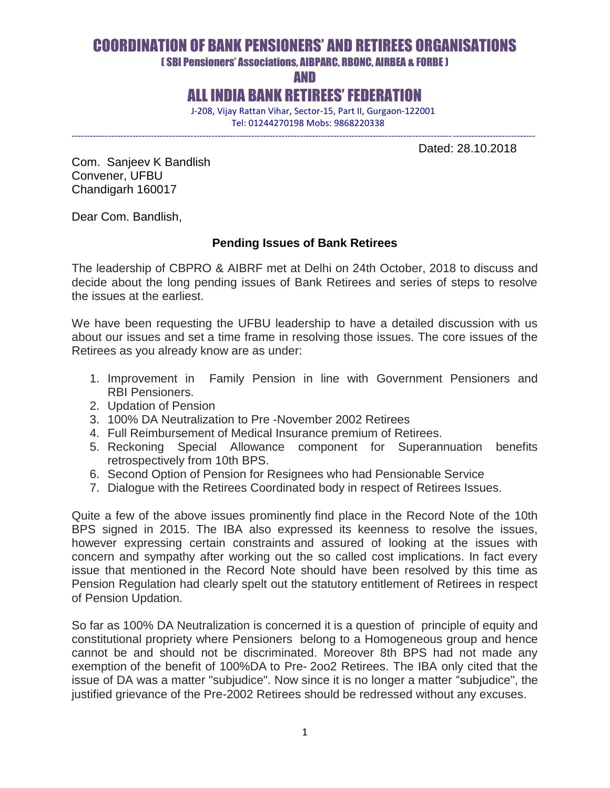# COORDINATION OF BANK PENSIONERS' AND RETIREES ORGANISATIONS

( SBI Pensioners' Associations, AIBPARC, RBONC, AIRBEA & FORBE )

AND

ALL INDIA BANK RETIREES' FEDERATION

 J-208, Vijay Rattan Vihar, Sector-15, Part II, Gurgaon-122001 Tel: 01244270198 Mobs: 9868220338

--------------------------------------------------------------------------------------------------------------------------------------------------------

Dated: 28.10.2018

Com. Sanjeev K Bandlish Convener, UFBU Chandigarh 160017

Dear Com. Bandlish,

#### **Pending Issues of Bank Retirees**

The leadership of CBPRO & AIBRF met at Delhi on 24th October, 2018 to discuss and decide about the long pending issues of Bank Retirees and series of steps to resolve the issues at the earliest.

We have been requesting the UFBU leadership to have a detailed discussion with us about our issues and set a time frame in resolving those issues. The core issues of the Retirees as you already know are as under:

- 1. Improvement in Family Pension in line with Government Pensioners and RBI Pensioners.
- 2. Updation of Pension
- 3. 100% DA Neutralization to Pre -November 2002 Retirees
- 4. Full Reimbursement of Medical Insurance premium of Retirees.
- 5. Reckoning Special Allowance component for Superannuation benefits retrospectively from 10th BPS.
- 6. Second Option of Pension for Resignees who had Pensionable Service
- 7. Dialogue with the Retirees Coordinated body in respect of Retirees Issues.

Quite a few of the above issues prominently find place in the Record Note of the 10th BPS signed in 2015. The IBA also expressed its keenness to resolve the issues, however expressing certain constraints and assured of looking at the issues with concern and sympathy after working out the so called cost implications. In fact every issue that mentioned in the Record Note should have been resolved by this time as Pension Regulation had clearly spelt out the statutory entitlement of Retirees in respect of Pension Updation.

So far as 100% DA Neutralization is concerned it is a question of principle of equity and constitutional propriety where Pensioners belong to a Homogeneous group and hence cannot be and should not be discriminated. Moreover 8th BPS had not made any exemption of the benefit of 100%DA to Pre- 2oo2 Retirees. The IBA only cited that the issue of DA was a matter "subjudice". Now since it is no longer a matter "subjudice", the justified grievance of the Pre-2002 Retirees should be redressed without any excuses.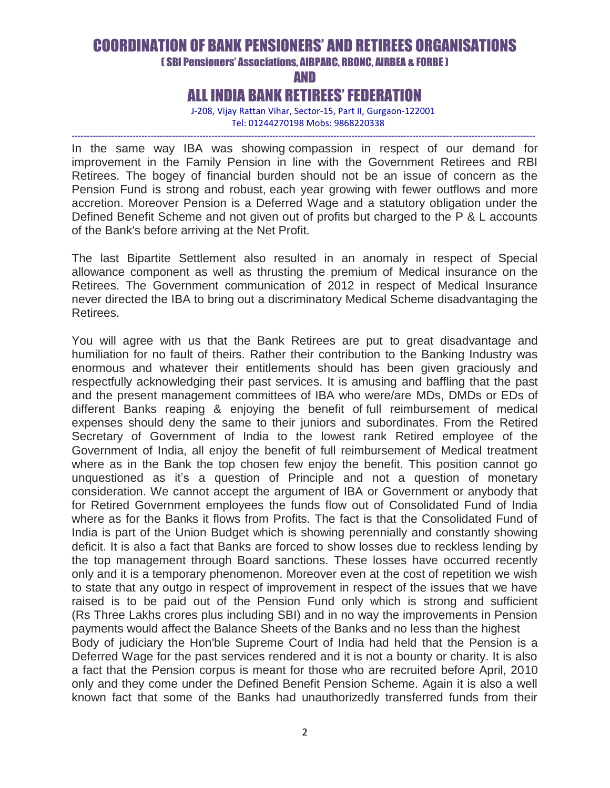## COORDINATION OF BANK PENSIONERS' AND RETIREES ORGANISATIONS

( SBI Pensioners' Associations, AIBPARC, RBONC, AIRBEA & FORBE )

AND

### ALL INDIA BANK RETIREES' FEDERATION

 J-208, Vijay Rattan Vihar, Sector-15, Part II, Gurgaon-122001 Tel: 01244270198 Mobs: 9868220338

-------------------------------------------------------------------------------------------------------------------------------------------------------- In the same way IBA was showing compassion in respect of our demand for improvement in the Family Pension in line with the Government Retirees and RBI Retirees. The bogey of financial burden should not be an issue of concern as the Pension Fund is strong and robust, each year growing with fewer outflows and more accretion. Moreover Pension is a Deferred Wage and a statutory obligation under the Defined Benefit Scheme and not given out of profits but charged to the P & L accounts of the Bank's before arriving at the Net Profit.

The last Bipartite Settlement also resulted in an anomaly in respect of Special allowance component as well as thrusting the premium of Medical insurance on the Retirees. The Government communication of 2012 in respect of Medical Insurance never directed the IBA to bring out a discriminatory Medical Scheme disadvantaging the Retirees.

You will agree with us that the Bank Retirees are put to great disadvantage and humiliation for no fault of theirs. Rather their contribution to the Banking Industry was enormous and whatever their entitlements should has been given graciously and respectfully acknowledging their past services. It is amusing and baffling that the past and the present management committees of IBA who were/are MDs, DMDs or EDs of different Banks reaping & enjoying the benefit of full reimbursement of medical expenses should deny the same to their juniors and subordinates. From the Retired Secretary of Government of India to the lowest rank Retired employee of the Government of India, all enjoy the benefit of full reimbursement of Medical treatment where as in the Bank the top chosen few enjoy the benefit. This position cannot go unquestioned as it's a question of Principle and not a question of monetary consideration. We cannot accept the argument of IBA or Government or anybody that for Retired Government employees the funds flow out of Consolidated Fund of India where as for the Banks it flows from Profits. The fact is that the Consolidated Fund of India is part of the Union Budget which is showing perennially and constantly showing deficit. It is also a fact that Banks are forced to show losses due to reckless lending by the top management through Board sanctions. These losses have occurred recently only and it is a temporary phenomenon. Moreover even at the cost of repetition we wish to state that any outgo in respect of improvement in respect of the issues that we have raised is to be paid out of the Pension Fund only which is strong and sufficient (Rs Three Lakhs crores plus including SBI) and in no way the improvements in Pension payments would affect the Balance Sheets of the Banks and no less than the highest Body of judiciary the Hon'ble Supreme Court of India had held that the Pension is a Deferred Wage for the past services rendered and it is not a bounty or charity. It is also a fact that the Pension corpus is meant for those who are recruited before April, 2010 only and they come under the Defined Benefit Pension Scheme. Again it is also a well known fact that some of the Banks had unauthorizedly transferred funds from their